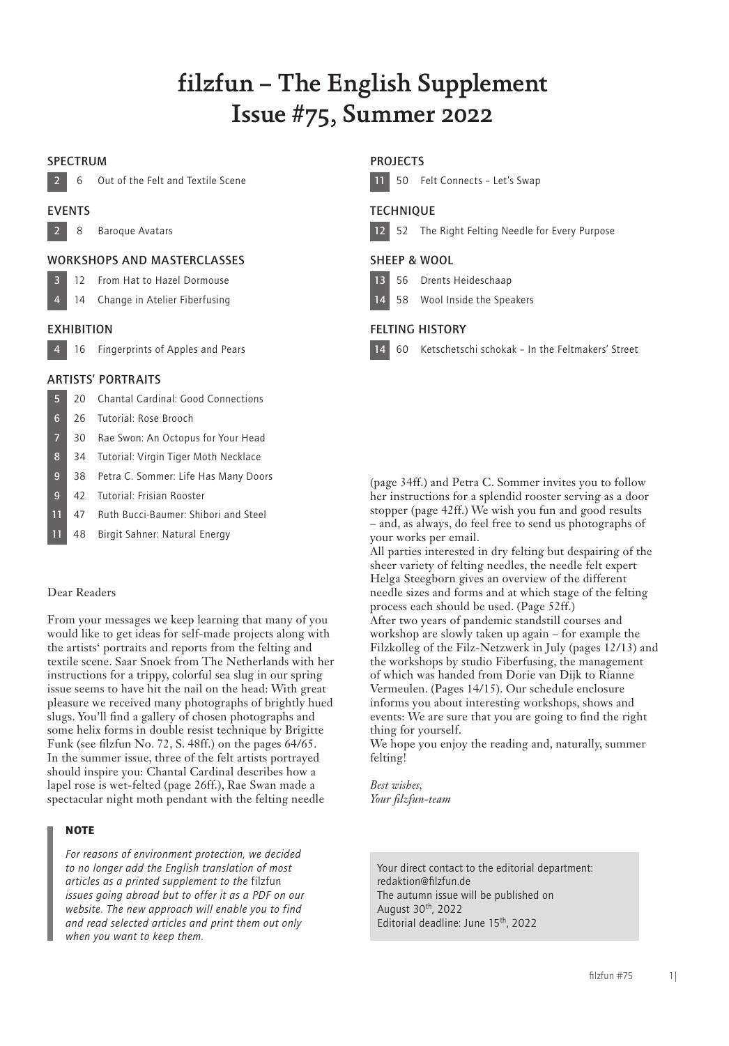# filzfun – The English Supplement Issue #75, Summer 2022

# SPECTRUM



6 Out of the Felt and Textile Scene

# EVENTS

2 8 Baroque Avatars

# WORKSHOPS AND MASTERCLASSES

# 3 12 From Hat to Hazel Dormouse

- 14 Change in Atelier Fiberfusing
- 

# **EXHIBITION**

4 16 Fingerprints of Apples and Pears

# ARTISTS' PORTRAITS

- 5 20 Chantal Cardinal: Good Connections
- 6 26 Tutorial: Rose Brooch
- 7 30 Rae Swon: An Octopus for Your Head
- 8 34 Tutorial: Virgin Tiger Moth Necklace
- 9 38 Petra C. Sommer: Life Has Many Doors
- 9 42 Tutorial: Frisian Rooster
- 11 47 Ruth Bucci-Baumer: Shibori and Steel
- 11 48 Birgit Sahner: Natural Energy

# Dear Readers

From your messages we keep learning that many of you would like to get ideas for self-made projects along with the artists' portraits and reports from the felting and textile scene. Saar Snoek from The Netherlands with her instructions for a trippy, colorful sea slug in our spring issue seems to have hit the nail on the head: With great pleasure we received many photographs of brightly hued slugs. You'll find a gallery of chosen photographs and some helix forms in double resist technique by Brigitte Funk (see filzfun No. 72, S. 48ff.) on the pages 64/65. In the summer issue, three of the felt artists portrayed should inspire you: Chantal Cardinal describes how a lapel rose is wet-felted (page 26ff.), Rae Swan made a spectacular night moth pendant with the felting needle

# **NOTE**

*For reasons of environment protection, we decided to no longer add the English translation of most articles as a printed supplement to the* filzfun *issues going abroad but to offer it as a PDF on our website. The new approach will enable you to find and read selected articles and print them out only when you want to keep them.*

# **PROJECTS**



# **TECHNIOUE**

```
12 52 The Right Felting Needle for Every Purpose
```
# SHEEP & WOOL

- 13 56 Drents Heideschaap
- 14 58 Wool Inside the Speakers

# FELTING HISTORY

14 60 Ketschetschi schokak – In the Feltmakers' Street

(page 34ff.) and Petra C. Sommer invites you to follow her instructions for a splendid rooster serving as a door stopper (page 42ff.) We wish you fun and good results – and, as always, do feel free to send us photographs of your works per email.

All parties interested in dry felting but despairing of the sheer variety of felting needles, the needle felt expert Helga Steegborn gives an overview of the different needle sizes and forms and at which stage of the felting process each should be used. (Page 52ff.) After two years of pandemic standstill courses and workshop are slowly taken up again – for example the Filzkolleg of the Filz-Netzwerk in July (pages 12/13) and the workshops by studio Fiberfusing, the management of which was handed from Dorie van Dijk to Rianne Vermeulen. (Pages 14/15). Our schedule enclosure informs you about interesting workshops, shows and events: We are sure that you are going to find the right thing for yourself.

We hope you enjoy the reading and, naturally, summer felting!

*Best wishes, Your filzfun-team*

Your direct contact to the editorial department: redaktion@filzfun.de The autumn issue will be published on August 30th, 2022 Editorial deadline: June 15th, 2022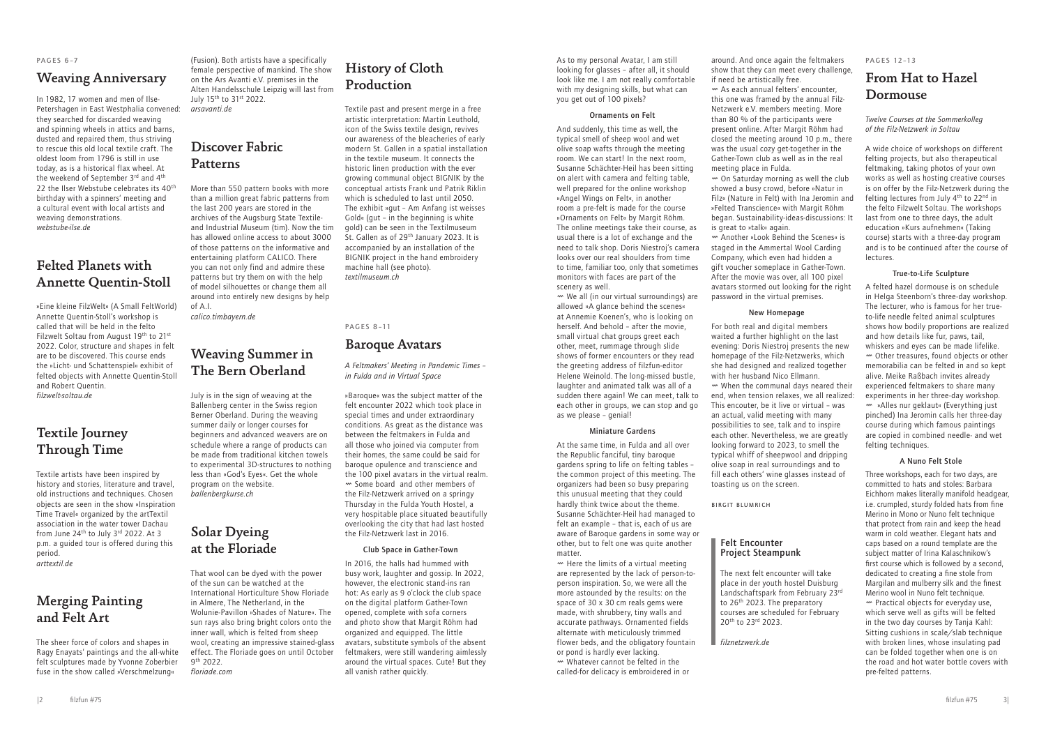As to my personal Avatar, I am still looking for glasses – after all, it should look like me. I am not really comfortable with my designing skills, but what can you get out of 100 pixels?

#### Ornaments on Felt

And suddenly, this time as well, the typical smell of sheep wool and wet olive soap wafts through the meeting room. We can start! In the next room, Susanne Schächter-Heil has been sitting on alert with camera and felting table, well prepared for the online workshop »Angel Wings on Felt«, in another room a pre-felt is made for the course »Ornaments on Felt« by Margit Röhm. The online meetings take their course, as usual there is a lot of exchange and the need to talk shop. Doris Niestroj's camera looks over our real shoulders from time to time, familiar too, only that sometimes monitors with faces are part of the scenery as well.

 $\mathbf w$  We all (in our virtual surroundings) are allowed »A glance behind the scenes« at Annemie Koenen's, who is looking on herself. And behold – after the movie, small virtual chat groups greet each other, meet, rummage through slide shows of former encounters or they read the greeting address of filzfun-editor Helene Weinold. The long-missed bustle, laughter and animated talk was all of a sudden there again! We can meet, talk to each other in groups, we can stop and go as we please – genial!

At the same time, in Fulda and all over the Republic fanciful, tiny baroque gardens spring to life on felting tables – the common project of this meeting. The organizers had been so busy preparing this unusual meeting that they could hardly think twice about the theme. Susanne Schächter-Heil had managed to felt an example – that is, each of us are aware of Baroque gardens in some way or other, but to felt one was quite another matter

 $\sim$  Here the limits of a virtual meeting are represented by the lack of person-toperson inspiration. So, we were all the more astounded by the results: on the space of 30 x 30 cm reals gems were made, with shrubbery, tiny walls and accurate pathways. Ornamented fields alternate with meticulously trimmed flower beds, and the obligatory fountain or pond is hardly ever lacking.

# Miniature Gardens

 $\sim$  On Saturday morning as well the club showed a busy crowd, before »Natur in Filz« (Nature in Felt) with Ina Jeromin and »Felted Transcience« with Margit Röhm began. Sustainability-ideas-discussions: It is great to »talk« again.

The next felt encounter will take place in der youth hostel Duisburg Landschaftspark from February 23rd to 26th 2023. The preparatory courses are scheduled for February 20<sup>th</sup> to 23rd 2023.

# From Hat to Hazel **Dormouse**

Ø Whatever cannot be felted in the called-for delicacy is embroidered in or

around. And once again the feltmakers show that they can meet every challenge, if need be artistically free.

> A felted hazel dormouse is on schedule in Helga Steenborn's three-day workshop. The lecturer, who is famous for her trueto-life needle felted animal sculptures shows how bodily proportions are realized and how details like fur, paws, tail, whiskers and eyes can be made lifelike. Ø Other treasures, found objects or other memorabilia can be felted in and so kept alive. Meike Raßbach invites already experienced feltmakers to share many experiments in her three-day workshop. Ø »Alles nur geklaut« (Everything just pinched) Ina Jeromin calls her three-day course during which famous paintings are copied in combined needle- and wet felting techniques.

Ø As each annual felters' encounter, this one was framed by the annual Filz-Netzwerk e.V. members meeting. More than 80 % of the participants were present online. After Margit Röhm had closed the meeting around 10 p.m., there was the usual cozy get-together in the Gather-Town club as well as in the real meeting place in Fulda.

Ø Another »Look Behind the Scenes« is staged in the Ammertal Wool Carding Company, which even had hidden a gift voucher someplace in Gather-Town. After the movie was over, all 100 pixel avatars stormed out looking for the right password in the virtual premises.

# New Homepage

For both real and digital members waited a further highlight on the last evening: Doris Niestroj presents the new homepage of the Filz-Netzwerks, which she had designed and realized together with her husband Nico Ellmann.

Ø When the communal days neared their end, when tension relaxes, we all realized: This encouter, be it live or virtual – was an actual, valid meeting with many possibilities to see, talk and to inspire each other. Nevertheless, we are greatly looking forward to 2023, to smell the typical whiff of sheepwool and dripping olive soap in real surroundings and to fill each others' wine glasses instead of toasting us on the screen.

Birgit Blumrich

# Felt Encounter Project Steampunk

# Discover Fabric **Patterns**

*filznetzwerk.de*

PAGES 12–13

*Twelve Courses at the Sommerkolleg of the Filz-Netzwerk in Soltau*

A wide choice of workshops on different felting projects, but also therapeutical feltmaking, taking photos of your own works as well as hosting creative courses is on offer by the Filz-Netzwerk during the felting lectures from July 4<sup>th</sup> to 22<sup>nd</sup> in the felto Filzwelt Soltau. The workshops last from one to three days, the adult education »Kurs aufnehmen« (Taking course) starts with a three-day program and is to be continued after the course of lectures.

# True-to-Life Sculpture

# A Nuno Felt Stole

Three workshops, each for two days, are committed to hats and stoles: Barbara Eichhorn makes literally manifold headgear, i.e. crumpled, sturdy folded hats from fine Merino in Mono or Nuno felt technique that protect from rain and keep the head warm in cold weather. Elegant hats and caps based on a round template are the subject matter of Irina Kalaschnikow's first course which is followed by a second, dedicated to creating a fine stole from Margilan and mulberry silk and the finest Merino wool in Nuno felt technique. Ø Practical objects for everyday use, which serve well as gifts will be felted in the two day courses by Tanja Kahl: Sitting cushions in scale/slab technique with broken lines, whose insulating pad can be folded together when one is on the road and hot water bottle covers with pre-felted patterns.

### PAGES 6–7

# Weaving Anniversary

In 1982, 17 women and men of Ilse-Petershagen in East Westphalia convened: they searched for discarded weaving and spinning wheels in attics and barns, dusted and repaired them, thus striving to rescue this old local textile craft. The oldest loom from 1796 is still in use today, as is a historical flax wheel. At the weekend of September 3rd and 4<sup>th</sup> 22 the Ilser Webstube celebrates its 40<sup>th</sup> birthday with a spinners' meeting and a cultural event with local artists and weaving demonstrations. *webstube-ilse.de*

# Felted Planets with Annette Quentin-Stoll

»Eine kleine FilzWelt« (A Small FeltWorld) Annette Quentin-Stoll's workshop is called that will be held in the felto Filzwelt Soltau from August 19th to 21st 2022. Color, structure and shapes in felt are to be discovered. This course ends the »Licht- und Schattenspiel« exhibit of felted objects with Annette Quentin-Stoll and Robert Quentin. *filzwelt-soltau.de*

# Textile Journey Through Time

Textile artists have been inspired by history and stories, literature and travel, old instructions and techniques. Chosen objects are seen in the show »Inspiration Time Travel« organized by the artTextil association in the water tower Dachau from June 24<sup>th</sup> to July 3<sup>rd</sup> 2022. At 3 p.m. a guided tour is offered during this period. *arttextil.de*

Merging Painting and Felt Art

The sheer force of colors and shapes in Ragy Enayats' paintings and the all-white felt sculptures made by Yvonne Zoberbier fuse in the show called »Verschmelzung«

(Fusion). Both artists have a specifically female perspective of mankind. The show on the Ars Avanti e.V. premises in the Alten Handelsschule Leipzig will last from July 15th to 31st 2022. *arsavanti.de*

More than 550 pattern books with more than a million great fabric patterns from the last 200 years are stored in the archives of the Augsburg State Textileand Industrial Museum (tim). Now the tim has allowed online access to about 3000 of those patterns on the informative and entertaining platform CALICO. There you can not only find and admire these patterns but try them on with the help of model silhouettes or change them all around into entirely new designs by help of A.I.

*calico.timbayern.de*

# Weaving Summer in The Bern Oberland

July is in the sign of weaving at the Ballenberg center in the Swiss region Berner Oberland. During the weaving summer daily or longer courses for beginners and advanced weavers are on schedule where a range of products can be made from traditional kitchen towels to experimental 3D-structures to nothing less than »God's Eyes«. Get the whole program on the website. *ballenbergkurse.ch*

# Solar Dyeing at the Floriade

That wool can be dyed with the power of the sun can be watched at the International Horticulture Show Floriade in Almere, The Netherland, in the Wolunie-Pavillon »Shades of Nature«. The sun rays also bring bright colors onto the inner wall, which is felted from sheep wool, creating an impressive stained-glass effect. The Floriade goes on until October 9th 2022. *floriade.com*

# History of Cloth Production

Textile past and present merge in a free artistic interpretation: Martin Leuthold, icon of the Swiss textile design, revives our awareness of the bleacheries of early modern St. Gallen in a spatial installation in the textile museum. It connects the historic linen production with the ever growing communal object BIGNIK by the conceptual artists Frank und Patrik Riklin which is scheduled to last until 2050. The exhibit »gut – Am Anfang ist weisses Gold« (gut – in the beginning is white gold) can be seen in the Textilmuseum St. Gallen as of 29<sup>th</sup> January 2023. It is accompanied by an installation of the BIGNIK project in the hand embroidery machine hall (see photo). *textilmuseum.ch*

# PAGES 8-11

# Baroque Avatars

*A Feltmakers' Meeting in Pandemic Times – in Fulda and in Virtual Space*

»Baroque« was the subject matter of the felt encounter 2022 which took place in special times and under extraordinary conditions. As great as the distance was between the feltmakers in Fulda and all those who joined via computer from their homes, the same could be said for baroque opulence and transcience and the 100 pixel avatars in the virtual realm. Ø Some board and other members of the Filz-Netzwerk arrived on a springy Thursday in the Fulda Youth Hostel, a very hospitable place situated beautifully overlooking the city that had last hosted the Filz-Netzwerk last in 2016.

#### Club Space in Gather-Town

In 2016, the halls had hummed with busy work, laughter and gossip. In 2022, however, the electronic stand-ins ran hot: As early as 9 o'clock the club space on the digital platform Gather-Town opened, complete with sofa corners and photo show that Margit Röhm had organized and equipped. The little avatars, substitute symbols of the absent feltmakers, were still wandering aimlessly around the virtual spaces. Cute! But they all vanish rather quickly.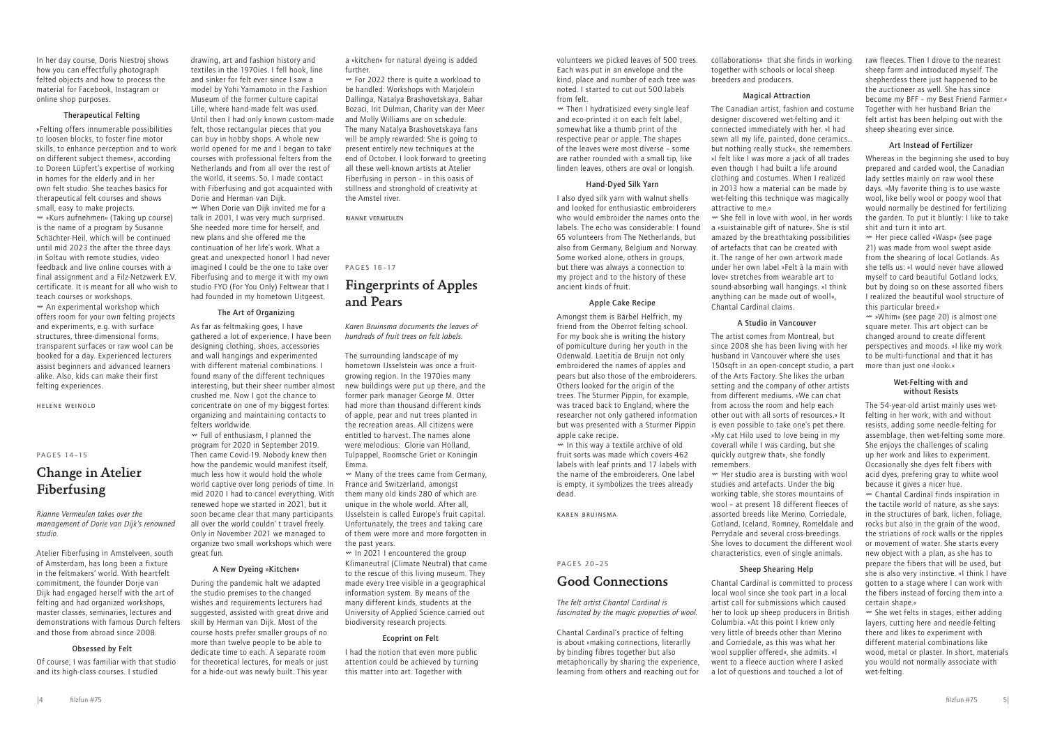volunteers we picked leaves of 500 trees. Each was put in an envelope and the kind, place and number of each tree was noted. I started to cut out 500 labels from felt.

Ø Then I hydratisized every single leaf and eco-printed it on each felt label, somewhat like a thumb print of the respective pear or apple. The shapes of the leaves were most diverse – some are rather rounded with a small tip, like linden leaves, others are oval or longish.

#### Hand-Dyed Silk Yarn

I also dyed silk yarn with walnut shells and looked for enthusiastic embroiderers who would embroider the names onto the labels. The echo was considerable: I found 65 volunteers from The Netherlands, but also from Germany, Belgium and Norway. Some worked alone, others in groups, but there was always a connection to my project and to the history of these ancient kinds of fruit.

### Apple Cake Recipe

Amongst them is Bärbel Helfrich, my friend from the Oberrot felting school. For my book she is writing the history of pomiculture during her youth in the Odenwald. Laetitia de Bruijn not only embroidered the names of apples and pears but also those of the embroiderers. Others looked for the origin of the trees. The Sturmer Pippin, for example, was traced back to England, where the researcher not only gathered information but was presented with a Sturmer Pippin apple cake recipe.

Ø In this way a textile archive of old fruit sorts was made which covers 462 labels with leaf prints and 17 labels with the name of the embroiderers. One label is empty, it symbolizes the trees already dead.

Karen Bruinsma

### PAGES 20–25

# Good Connections

# *The felt artist Chantal Cardinal is fascinated by the magic properties of wool.*

Chantal Cardinal's practice of felting is about »making connections, literarlly by binding fibres together but also metaphorically by sharing the experience, learning from others and reaching out for

collaborations« that she finds in working together with schools or local sheep breeders and producers.

#### Magical Attraction

The Canadian artist, fashion and costume designer discovered wet-felting and it connected immediately with her. »I had sewn all my life, painted, done ceramics… but nothing really stuck«, she remembers. »I felt like I was more a jack of all trades even though I had built a life around clothing and costumes. When I realized in 2013 how a material can be made by wet-felting this technique was magically attractive to me.«

Ø She fell in love with wool, in her words a »suistainable gift of nature«. She is stil amazed by the breathtaking possibilities of artefacts that can be created with it. The range of her own artwork made under her own label »Felt à la main with love« stretches from wearable art to sound-absorbing wall hangings. »I think anything can be made out of wool!«, Chantal Cardinal claims.

#### A Studio in Vancouver

The artist comes from Montreal, but since 2008 she has been living with her husband in Vancouver where she uses 150sqft in an open-concept studio, a part of the Arts Factory. She likes the urban setting and the company of other artists from different mediums. »We can chat from across the room and help each other out with all sorts of resources.« It is even possible to take one's pet there. »My cat Hilo used to love being in my coverall while I was carding, but she quickly outgrew that«, she fondly remembers.

> $\sim$  She wet felts in stages, either adding layers, cutting here and needle-felting there and likes to experiment with different material combinations like wood, metal or plaster. In short, materials you would not normally associate with wet-felting.

Ø Her studio area is bursting with wool studies and artefacts. Under the big working table, she stores mountains of wool – at present 18 different fleeces of assorted breeds like Merino, Corriedale, Gotland, Iceland, Romney, Romeldale and Perrydale and several cross-breedings. She loves to document the different wool characteristics, even of single animals.

### Sheep Shearing Help

 $<sub>w</sub>$  An experimental workshop which</sub> offers room for your own felting projects and experiments, e.g. with surface structures, three-dimensional forms, transparent surfaces or raw wool can be booked for a day. Experienced lecturers assist beginners and advanced learners alike. Also, kids can make their first felting experiences.

> Chantal Cardinal is committed to process local wool since she took part in a local artist call for submissions which caused her to look up sheep producers in British Columbia. »At this point I knew only very little of breeds other than Merino and Corriedale, as this was what her wool supplier offered«, she admits. »I went to a fleece auction where I asked a lot of questions and touched a lot of

raw fleeces. Then I drove to the nearest sheep farm and introduced myself. The shepherdess there just happened to be the auctioneer as well. She has since become my BFF – my Best Friend Farmer.« Together with her husband Brian the felt artist has been helping out with the sheep shearing ever since.

#### Art Instead of Fertilizer

Whereas in the beginning she used to buy prepared and carded wool, the Canadian lady settles mainly on raw wool these days. »My favorite thing is to use waste wool, like belly wool or poopy wool that would normally be destined for fertilizing the garden. To put it bluntly: I like to take shit and turn it into art.

Ø Her piece called »Wasp« (see page 21) was made from wool swept aside from the shearing of local Gotlands. As she tells us: »I would never have allowed myself to card beautiful Gotland locks, but by doing so on these assorted fibers I realized the beautiful wool structure of this particular breed.«

Ø »Whim« (see page 20) is almost one square meter. This art object can be changed around to create different perspectives and moods. »I like my work to be multi-functional and that it has more than just one ›look‹.«

### Wet-Felting with and without Resists

The 54-year-old artist mainly uses wetfelting in her work, with and without resists, adding some needle-felting for assemblage, then wet-felting some more. She enjoys the challenges of scaling up her work and likes to experiment. Occasionally she dyes felt fibers with acid dyes, prefering gray to white wool because it gives a nicer hue.

Ø Chantal Cardinal finds inspiration in the tactile world of nature, as she says: in the structures of bark, lichen, foliage, rocks but also in the grain of the wood, the striations of rock walls or the ripples or movement of water. She starts every new object with a plan, as she has to prepare the fibers that will be used, but she is also very instinctive. »I think I have gotten to a stage where I can work with the fibers instead of forcing them into a certain shape.«

 $\sim$  In 2021 I encountered the group Klimaneutral (Climate Neutral) that came to the rescue of this living museum. They made every tree visible in a geographical information system. By means of the many different kinds, students at the University of Applied Science carried out biodiversity research projects.

In her day course, Doris Niestroj shows how you can effectfully photograph felted objects and how to process the material for Facebook, Instagram or online shop purposes.

### Therapeutical Felting

»Felting offers innumerable possibilities to loosen blocks, to foster fine motor skills, to enhance perception and to work on different subject themes«, according to Doreen Lüpfert's expertise of working in homes for the elderly and in her own felt studio. She teaches basics for therapeutical felt courses and shows small, easy to make projects. Ø »Kurs aufnehmen« (Taking up course) is the name of a program by Susanne Schächter-Heil, which will be continued until mid 2023 the after the three days in Soltau with remote studies, video feedback and live online courses with a final assignment and a Filz-Netzwerk E.V. certificate. It is meant for all who wish to teach courses or workshops.

Helene Weinold

### PAGES 14–15

# Change in Atelier Fiberfusing

*Rianne Vermeulen takes over the management of Dorie van Dijk's renowned studio.*

Atelier Fiberfusing in Amstelveen, south of Amsterdam, has long been a fixture in the feltmakers' world. With heartfelt commitment, the founder Dorje van Dijk had engaged herself with the art of felting and had organized workshops, master classes, seminaries, lectures and demonstrations with famous Durch felters and those from abroad since 2008.

### Obsessed by Felt

Of course, I was familiar with that studio and its high-class courses. I studied

drawing, art and fashion history and textiles in the 1970ies. I fell hook, line and sinker for felt ever since I saw a model by Yohi Yamamoto in the Fashion Museum of the former culture capital Lille, where hand-made felt was used. Until then I had only known custom-made felt, those rectangular pieces that you can buy in hobby shops. A whole new world opened for me and I began to take courses with professional felters from the Netherlands and from all over the rest of the world, it seems. So, I made contact with Fiberfusing and got acquainted with Dorie and Herman van Dijk.

Ø When Dorie van Dijk invited me for a talk in 2001, I was very much surprised. She needed more time for herself, and new plans and she offered me the continuation of her life's work. What a great and unexpected honor! I had never imagined I could be the one to take over Fiberfusing and to merge it with my own studio FYO (For You Only) Feltwear that I had founded in my hometown Uitgeest.

# The Art of Organizing

As far as feltmaking goes, I have gathered a lot of experience. I have been designing clothing, shoes, accessories and wall hangings and experimented with different material combinations. I found many of the different techniques interesting, but their sheer number almost crushed me. Now I got the chance to concentrate on one of my biggest fortes: organizing and maintaining contacts to felters worldwide.

Ø Full of enthusiasm, I planned the program for 2020 in September 2019. Then came Covid-19. Nobody knew then how the pandemic would manifest itself, much less how it would hold the whole world captive over long periods of time. In mid 2020 I had to cancel everything. With renewed hope we started in 2021, but it soon became clear that many participants all over the world couldn' t travel freely. Only in November 2021 we managed to organize two small workshops which were great fun.

#### A New Dyeing »Kitchen«

During the pandemic halt we adapted the studio premises to the changed wishes and requirements lecturers had suggested, assisted with great drive and skill by Herman van Dijk. Most of the course hosts prefer smaller groups of no more than twelve people to be able to dedicate time to each. A separate room for theoretical lectures, for meals or just for a hide-out was newly built. This year

a »kitchen« for natural dyeing is added further.

Ø For 2022 there is quite a workload to be handled: Workshops with Marjolein Dallinga, Natalya Brashovetskaya, Bahar Bozaci, Irit Dulman, Charity van der Meer and Molly Williams are on schedule. The many Natalya Brashovetskaya fans will be amply rewarded: She is going to present entirely new techniques at the end of October. I look forward to greeting all these well-known artists at Atelier Fiberfusing in person – in this oasis of stillness and stronghold of creativity at the Amstel river.

Rianne Vermeulen

PAGES 16–17

# Fingerprints of Apples and Pears

*Karen Bruinsma documents the leaves of hundreds of fruit trees on felt labels.*

The surrounding landscape of my hometown IJsselstein was once a fruitgrowing region. In the 1970ies many new buildings were put up there, and the former park manager George M. Otter had more than thousand different kinds of apple, pear and nut trees planted in the recreation areas. All citizens were entitled to harvest. The names alone were melodious: Glorie van Holland, Tulpappel, Roomsche Griet or Koningin Emma.

Ø Many of the trees came from Germany, France and Switzerland, amongst them many old kinds 280 of which are unique in the whole world. After all, IJsselstein is called Europe's fruit capital. Unfortunately, the trees and taking care of them were more and more forgotten in the past years.

#### Ecoprint on Felt

I had the notion that even more public attention could be achieved by turning this matter into art. Together with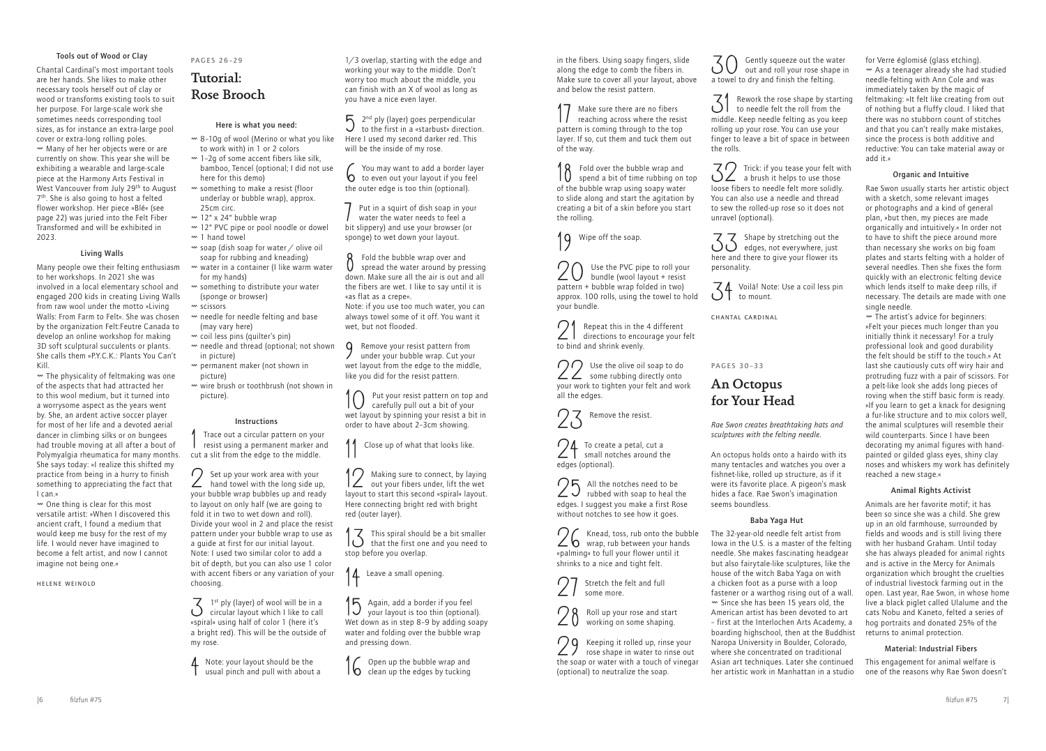in the fibers. Using soapy fingers, slide along the edge to comb the fibers in. Make sure to cover all your layout, above and below the resist pattern.

17 Make sure there are no fibers reaching across where the resist pattern is coming through to the top layer. If so, cut them and tuck them out of the way.

20 Use the PVC pipe to roll your<br>
Use the PVC pipe to roll your bundle (wool layout + resist pattern + bubble wrap folded in two) approx. 100 rolls, using the towel to hold your bundle.

18 Fold over the bubble wrap and spend a bit of time rubbing on top of the bubble wrap using soapy water to slide along and start the agitation by creating a bit of a skin before you start the rolling.

1q Wipe off the soap.

24 To create a petal, cut a<br>small notches around the edges (optional).

 $25$  All the notches need to be<br>rubbed with soap to heal the edges. I suggest you make a first Rose without notches to see how it goes.

Stretch the felt and full some more.

21 Repeat this in the 4 different directions to encourage your felt to bind and shrink evenly.

29 Keeping it rolled up, rinse your<br>rose shape in water to rinse out the soap or water with a touch of vinegar (optional) to neutralize the soap.

 $30$  Gently squeeze out the water<br>out and roll your rose shape in out and roll your rose shape in a towel to dry and finish the felting.

22 Use the olive oil soap to do some rubbing directly onto your work to tighten your felt and work all the edges.

 $\mathcal{Z}_1$  Rework the rose shape by starting<br>to needle felt the roll from the to needle felt the roll from the middle. Keep needle felting as you keep rolling up your rose. You can use your finger to leave a bit of space in between the rolls.



 $\mathcal{Z}_2$  Trick: if you tease your felt with a brush it helps to use those loose fibers to needle felt more solidly. You can also use a needle and thread to sew the rolled-up rose so it does not unravel (optional).

26 Knead, toss, rub onto the bubble wrap, rub between your hands «palming« to full your flower until it shrinks to a nice and tight felt.



33 Shape by stretching out the edges, not everywhere, just here and there to give your flower its personality.

34 Voilà! Note: Use a coil less pin to mount.

Chantal Cardinal

PAGES 30–33

# An Octopus for Your Head

*Rae Swon creates breathtaking hats and sculptures with the felting needle.*

An octopus holds onto a hairdo with its many tentacles and watches you over a fishnet-like, rolled up structure, as if it were its favorite place. A pigeon's mask hides a face. Rae Swon's imagination seems boundless.

# Baba Yaga Hut

The 32-year-old needle felt artist from Iowa in the U.S. is a master of the felting needle. She makes fascinating headgear but also fairytale-like sculptures, like the house of the witch Baba Yaga on with a chicken foot as a purse with a loop fastener or a warthog rising out of a wall.  $\sim$  Since she has been 15 years old, the American artist has been devoted to art – first at the Interlochen Arts Academy, a boarding highschool, then at the Buddhist Naropa University in Boulder, Colorado, where she concentrated on traditional Asian art techniques. Later she continued her artistic work in Manhattan in a studio

for Verre églomisé (glass etching). Ø As a teenager already she had studied needle-felting with Ann Cole and was immediately taken by the magic of feltmaking: »It felt like creating from out of nothing but a fluffy cloud. I liked that there was no stubborn count of stitches and that you can't really make mistakes, since the process is both additive and reductive: You can take material away or add it.«

 $\mathbb{R}^m$  The physicality of feltmaking was one of the aspects that had attracted her to this wool medium, but it turned into a worrysome aspect as the years went by. She, an ardent active soccer player for most of her life and a devoted aerial dancer in climbing silks or on bungees had trouble moving at all after a bout of Polymyalgia rheumatica for many months. She says today: »I realize this shifted my practice from being in a hurry to finish something to appreciating the fact that I can.«

### Organic and Intuitive

 $\sim$  One thing is clear for this most versatile artist: »When I discovered this ancient craft, I found a medium that would keep me busy for the rest of my life. I would never have imagined to become a felt artist, and now I cannot imagine not being one.«

Rae Swon usually starts her artistic object with a sketch, some relevant images or photographs and a kind of general plan, »but then, my pieces are made organically and intuitively.« In order not to have to shift the piece around more than necessary she works on big foam plates and starts felting with a holder of several needles. Then she fixes the form quickly with an electronic felting device which lends itself to make deep rills, if necessary. The details are made with one single needle.

Trace out a circular pattern on your resist using a permanent marker and cut a slit from the edge to the middle.

Ø The artist's advice for beginners: »Felt your pieces much longer than you initially think it necessary! For a truly professional look and good durability the felt should be stiff to the touch.« At last she cautiously cuts off wiry hair and protruding fuzz with a pair of scissors. For a pelt-like look she adds long pieces of roving when the stiff basic form is ready. »If you learn to get a knack for designing a fur-like structure and to mix colors well, the animal sculptures will resemble their wild counterparts. Since I have been decorating my animal figures with handpainted or gilded glass eyes, shiny clay noses and whiskers my work has definitely reached a new stage.«

 $\sum$  1<sup>st</sup> ply (layer) of wool will be in a circular layout which I like to call «spiral« using half of color 1 (here it's a bright red). This will be the outside of my rose.

 $\triangle$  Note: your layout should be the usual pinch and pull with about a

 $5^{2^{nd}}$  ply (layer) goes perpendicular to the first in a «starbust« direction. Here I used my second darker red. This will be the inside of my rose.

# Animal Rights Activist

 $\beta$  Fold the bubble wrap over and<br>spread the water around by  $\alpha$ spread the water around by pressing down. Make sure all the air is out and all the fibers are wet. I like to say until it is «as flat as a crepe«. Note: if you use too much water, you can always towel some of it off. You want it wet, but not flooded.

**Q** Remove your resist pattern from under your bubble wrap. Cut your wet layout from the edge to the middle, like you did for the resist pattern.

> Animals are her favorite motif; it has been so since she was a child. She grew up in an old farmhouse, surrounded by fields and woods and is still living there with her husband Graham. Until today she has always pleaded for animal rights and is active in the Mercy for Animals organization which brought the cruelties of industrial livestock farming out in the open. Last year, Rae Swon, in whose home live a black piglet called Ulalume and the cats Nobu and Kaneto, felted a series of hog portraits and donated 25% of the returns to animal protection.

12 Making sure to connect, by laying<br>out your fibers under, lift the wet layout to start this second «spiral« layout. Here connecting bright red with bright red (outer layer).

 $\int \vec{S}$  This spiral should be a bit smaller that the first one and you need to stop before you overlap.

14 Leave a small opening.

15 Again, add a border if you feel your layout is too thin (optional). Wet down as in step 8–9 by adding soapy water and folding over the bubble wrap and pressing down.

16 Open up the bubble wrap and<br>clean up the edges by tucking

# Material: Industrial Fibers

This engagement for animal welfare is one of the reasons why Rae Swon doesn't

# Tools out of Wood or Clay

Chantal Cardinal's most important tools are her hands. She likes to make other necessary tools herself out of clay or wood or transforms existing tools to suit her purpose. For large-scale work she sometimes needs corresponding tool sizes, as for instance an extra-large pool cover or extra-long rolling poles. Ø Many of her her objects were or are currently on show. This year she will be exhibiting a wearable and large-scale piece at the Harmony Arts Festival in West Vancouver from July 29<sup>th</sup> to August 7<sup>th</sup>. She is also going to host a felted flower workshop. Her piece »Blé« (see page 22) was juried into the Felt Fiber Transformed and will be exhibited in 2023.

### Living Walls

Many people owe their felting enthusiasm to her workshops. In 2021 she was involved in a local elementary school and engaged 200 kids in creating Living Walls from raw wool under the motto »Living Walls: From Farm to Felt«. She was chosen by the organization Felt:Feutre Canada to develop an online workshop for making 3D soft sculptural succulents or plants. She calls them »P.Y.C.K.: Plants You Can't Kill.

Helene Weinold

PAGES 26–29

# Tutorial: Rose Brooch

### Here is what you need:

- Ø 8–10g of wool (Merino or what you like to work with) in 1 or 2 colors
- $\sim$  1-2q of some accent fibers like silk, bamboo, Tencel (optional; I did not use here for this demo)
- Ø something to make a resist (floor underlay or bubble wrap), approx. 25cm circ.
- $\sim$  12" x 24" bubble wrap
- Ø 12" PVC pipe or pool noodle or dowel
- $<sup>2</sup>$  1 hand towel</sup>  $\sim$  soap (dish soap for water / olive oil soap for rubbing and kneading)
- Ø water in a container (I like warm water for my hands)
- Ø something to distribute your water (sponge or browser)
- w scissors
- Ø needle for needle felting and base (may vary here)
- Ø coil less pins (quilter's pin)
- Ø needle and thread (optional; not shown in picture)
- Ø permanent maker (not shown in picture)
- Ø wire brush or toothbrush (not shown in picture).

#### Instructions

2 Set up your work area with your hand towel with the long side up, your bubble wrap bubbles up and ready to layout on only half (we are going to fold it in two to wet down and roll). Divide your wool in 2 and place the resist pattern under your bubble wrap to use as a guide at first for our initial layout. Note: I used two similar color to add a bit of depth, but you can also use 1 color with accent fibers or any variation of your choosing.

1/3 overlap, starting with the edge and working your way to the middle. Don't worry too much about the middle, you can finish with an X of wool as long as you have a nice even layer.

6 You may want to add a border layer to even out your layout if you feel the outer edge is too thin (optional).

7 Put in a squirt of dish soap in your water the water needs to feel a bit slippery) and use your browser (or sponge) to wet down your layout.

10 Put your resist pattern on top and carefully pull out a bit of your wet layout by spinning your resist a bit in order to have about 2–3cm showing.

Close up of what that looks like.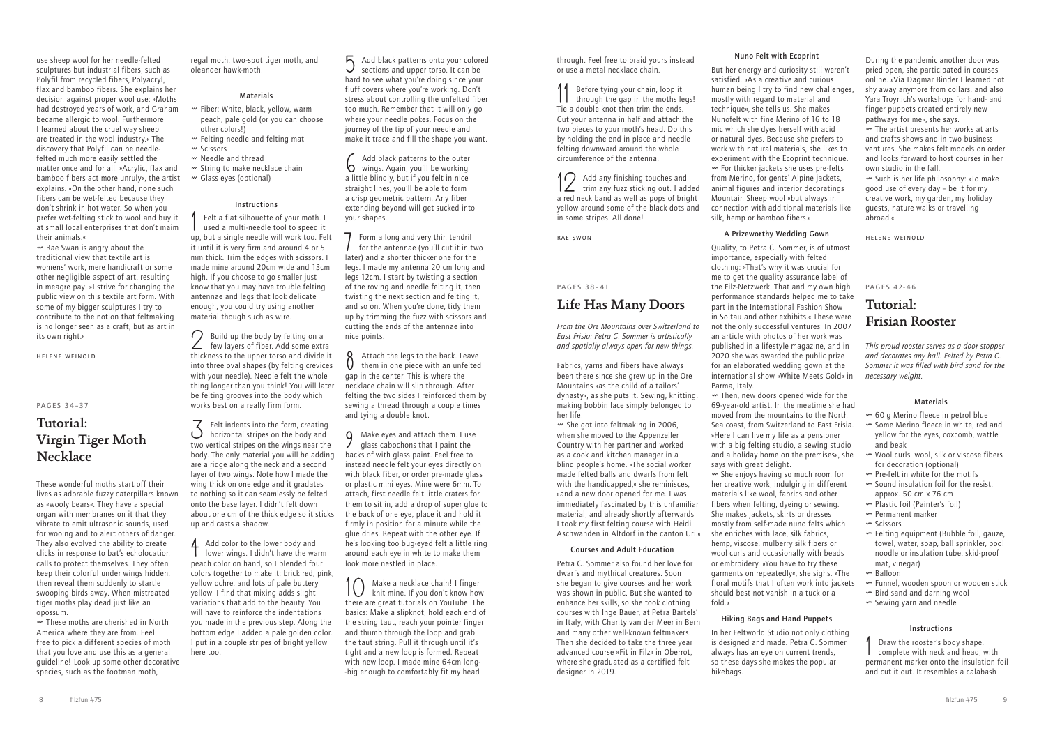through. Feel free to braid yours instead or use a metal necklace chain.

11 Before tying your chain, loop it through the gap in the moths legs! Tie a double knot then trim the ends. Cut your antenna in half and attach the two pieces to your moth's head. Do this by holding the end in place and needle felting downward around the whole circumference of the antenna.

12 Add any finishing touches and trim any fuzz sticking out. I added a red neck band as well as pops of bright yellow around some of the black dots and in some stripes. All done!

Rae Swon

### PAGES 38–41

# Life Has Many Doors

*From the Ore Mountains over Switzerland to East Frisia: Petra C. Sommer is artistically and spatially always open for new things.*

Fabrics, yarns and fibers have always been there since she grew up in the Ore Mountains »as the child of a tailors' dynasty«, as she puts it. Sewing, knitting, making bobbin lace simply belonged to her life.

Ø She got into feltmaking in 2006, when she moved to the Appenzeller Country with her partner and worked as a cook and kitchen manager in a blind people's home. »The social worker made felted balls and dwarfs from felt with the handicapped,« she reminisces, »and a new door opened for me. I was immediately fascinated by this unfamiliar material, and already shortly afterwards I took my first felting course with Heidi Aschwanden in Altdorf in the canton Uri.«

#### Courses and Adult Education

Petra C. Sommer also found her love for dwarfs and mythical creatures. Soon she began to give courses and her work was shown in public. But she wanted to enhance her skills, so she took clothing courses with Inge Bauer, at Petra Bartels' in Italy, with Charity van der Meer in Bern and many other well-known feltmakers. Then she decided to take the three year advanced course »Fit in Filz« in Oberrot, where she graduated as a certified felt designer in 2019.

### Nuno Felt with Ecoprint

But her energy and curiosity still weren't satisfied. »As a creative and curious human being I try to find new challenges, mostly with regard to material and technique«, she tells us. She makes Nunofelt with fine Merino of 16 to 18 mic which she dyes herself with acid or natural dyes. Because she prefers to work with natural materials, she likes to experiment with the Ecoprint technique. Ø For thicker jackets she uses pre-felts from Merino, for gents' Alpine jackets, animal figures and interior decoratings Mountain Sheep wool »but always in connection with additional materials like silk, hemp or bamboo fibers.«

### A Prizeworthy Wedding Gown

- $\sim$  60 g Merino fleece in petrol blue
- Ø Some Merino fleece in white, red and yellow for the eyes, coxcomb, wattle and beak
- Ø Wool curls, wool, silk or viscose fibers for decoration (optional)
- $<sub>w</sub>$  Pre-felt in white for the motifs</sub> Ø Sound insulation foil for the resist,
- approx. 50 cm x 76 cm
- Ø Plastic foil (Painter's foil)
- Ø Permanent marker
- w Scissors
- Ø Felting equipment (Bubble foil, gauze, towel, water, soap, ball sprinkler, pool noodle or insulation tube, skid-proof mat, vinegar)
- $M$  Balloon
- Ø Funnel, wooden spoon or wooden stick  $\sim$  Bird sand and darning wool
- Ø Sewing yarn and needle

Quality, to Petra C. Sommer, is of utmost importance, especially with felted clothing: »That's why it was crucial for me to get the quality assurance label of the Filz-Netzwerk. That and my own high performance standards helped me to take part in the International Fashion Show in Soltau and other exhibits.« These were not the only successful ventures: In 2007 an article with photos of her work was published in a lifestyle magazine, and in 2020 she was awarded the public prize for an elaborated wedding gown at the international show »White Meets Gold« in Parma, Italy.

Ø Then, new doors opened wide for the 69-year-old artist. In the meatime she had moved from the mountains to the North Sea coast, from Switzerland to East Frisia. »Here I can live my life as a pensioner with a big felting studio, a sewing studio and a holiday home on the premises«, she says with great delight.

 $<sub>w</sub>$  Rae Swan is angry about the</sub> traditional view that textile art is womens' work, mere handicraft or some other negligible aspect of art, resulting in meagre pay: »I strive for changing the public view on this textile art form. With some of my bigger sculptures I try to contribute to the notion that feltmaking is no longer seen as a craft, but as art in its own right.«

# Tutorial: Virgin Tiger Moth **Necklace**

Ø She enjoys having so much room for her creative work, indulging in different materials like wool, fabrics and other fibers when felting, dyeing or sewing. She makes jackets, skirts or dresses mostly from self-made nuno felts which she enriches with lace, silk fabrics, hemp, viscose, mulberry silk fibers or wool curls and occasionally with beads or embroidery. »You have to try these garments on repeatedly«, she sighs. »The floral motifs that I often work into jackets should best not vanish in a tuck or a fold.«

# Hiking Bags and Hand Puppets

In her Feltworld Studio not only clothing is designed and made. Petra C. Sommer always has an eye on current trends, so these days she makes the popular hikebags.

During the pandemic another door was pried open, she participated in courses online. »Via Dagmar Binder I learned not shy away anymore from collars, and also Yara Troynich's workshops for hand- and finger puppets created entirely new pathways for me«, she says.

Ø The artist presents her works at arts and crafts shows and in two business ventures. She makes felt models on order and looks forward to host courses in her own studio in the fall.

 $\overline{3}$  Felt indents into the form, creating horizontal stripes on the body and two vertical stripes on the wings near the body. The only material you will be adding are a ridge along the neck and a second layer of two wings. Note how I made the wing thick on one edge and it gradates to nothing so it can seamlessly be felted onto the base layer. I didn't felt down about one cm of the thick edge so it sticks up and casts a shadow.

Ø Such is her life philosophy: »To make good use of every day – be it for my creative work, my garden, my holiday guests, nature walks or travelling abroad.«

A Add color to the lower body and lower wings. I didn't have the warm peach color on hand, so I blended four colors together to make it: brick red, pink, yellow ochre, and lots of pale buttery yellow. I find that mixing adds slight variations that add to the beauty. You will have to reinforce the indentations you made in the previous step. Along the bottom edge I added a pale golden color. I put in a couple stripes of bright yellow here too.

Helene Weinold

PAGES 42-46

# Tutorial: Frisian Rooster

*This proud rooster serves as a door stopper and decorates any hall. Felted by Petra C. Sommer it was filled with bird sand for the necessary weight.*

### Materials

 $\beta$  Attach the legs to the back. Leave them in one piece with an unfelted gap in the center. This is where the necklace chain will slip through. After felting the two sides I reinforced them by sewing a thread through a couple times and tying a double knot.

# Instructions

1 Draw the rooster's body shape, complete with neck and head, with permanent marker onto the insulation foil and cut it out. It resembles a calabash

use sheep wool for her needle-felted sculptures but industrial fibers, such as Polyfil from recycled fibers, Polyacryl, flax and bamboo fibers. She explains her decision against proper wool use: »Moths had destroyed years of work, and Graham became allergic to wool. Furthermore I learned about the cruel way sheep are treated in the wool industry.« The discovery that Polyfil can be needlefelted much more easily settled the matter once and for all. »Acrylic, flax and bamboo fibers act more unruly«, the artist explains. »On the other hand, none such fibers can be wet-felted because they don't shrink in hot water. So when you prefer wet-felting stick to wool and buy it at small local enterprises that don't maim their animals.«

Helene Weinold

#### PAGES 34–37

These wonderful moths start off their lives as adorable fuzzy caterpillars known as «wooly bears«. They have a special organ with membranes on it that they vibrate to emit ultrasonic sounds, used for wooing and to alert others of danger. They also evolved the ability to create clicks in response to bat's echolocation calls to protect themselves. They often keep their colorful under wings hidden, then reveal them suddenly to startle swooping birds away. When mistreated tiger moths play dead just like an opossum.

Ø These moths are cherished in North America where they are from. Feel free to pick a different species of moth that you love and use this as a general guideline! Look up some other decorative species, such as the footman moth,

regal moth, two-spot tiger moth, and oleander hawk-moth.

# Materials

- Ø Fiber: White, black, yellow, warm peach, pale gold (or you can choose other colors!)
- Ø Felting needle and felting mat
- w Scissors
- Ø Needle and thread
- Ø String to make necklace chain
- Ø Glass eyes (optional)

#### Instructions

1 Felt a flat silhouette of your moth. I used a multi-needle tool to speed it up, but a single needle will work too. Felt it until it is very firm and around 4 or 5 mm thick. Trim the edges with scissors. I made mine around 20cm wide and 13cm high. If you choose to go smaller just know that you may have trouble felting antennae and legs that look delicate enough, you could try using another material though such as wire.

2 Build up the body by felting on a few layers of fiber. Add some extra thickness to the upper torso and divide it into three oval shapes (by felting crevices with your needle). Needle felt the whole thing longer than you think! You will later be felting grooves into the body which works best on a really firm form.

5 Add black patterns onto your colored sections and upper torso. It can be hard to see what you're doing since your fluff covers where you're working. Don't stress about controlling the unfelted fiber too much. Remember that it will only go where your needle pokes. Focus on the journey of the tip of your needle and make it trace and fill the shape you want.

6 Add black patterns to the outer wings. Again, you'll be working a little blindly, but if you felt in nice straight lines, you'll be able to form a crisp geometric pattern. Any fiber extending beyond will get sucked into your shapes.

7 Form a long and very thin tendril for the antennae (you'll cut it in two later) and a shorter thicker one for the legs. I made my antenna 20 cm long and legs 12cm. I start by twisting a section of the roving and needle felting it, then twisting the next section and felting it, and so on. When you're done, tidy them up by trimming the fuzz with scissors and cutting the ends of the antennae into nice points.

9 Make eyes and attach them. I use glass cabochons that I paint the backs of with glass paint. Feel free to instead needle felt your eyes directly on with black fiber, or order pre-made glass or plastic mini eyes. Mine were 6mm. To attach, first needle felt little craters for them to sit in, add a drop of super glue to the back of one eye, place it and hold it firmly in position for a minute while the glue dries. Repeat with the other eye. If he's looking too bug-eyed felt a little ring around each eye in white to make them look more nestled in place.

10 Make a necklace chain! I finger knit mine. If you don't know how there are great tutorials on YouTube. The basics: Make a slipknot, hold each end of the string taut, reach your pointer finger and thumb through the loop and grab the taut string. Pull it through until it's tight and a new loop is formed. Repeat with new loop. I made mine 64cm long- -big enough to comfortably fit my head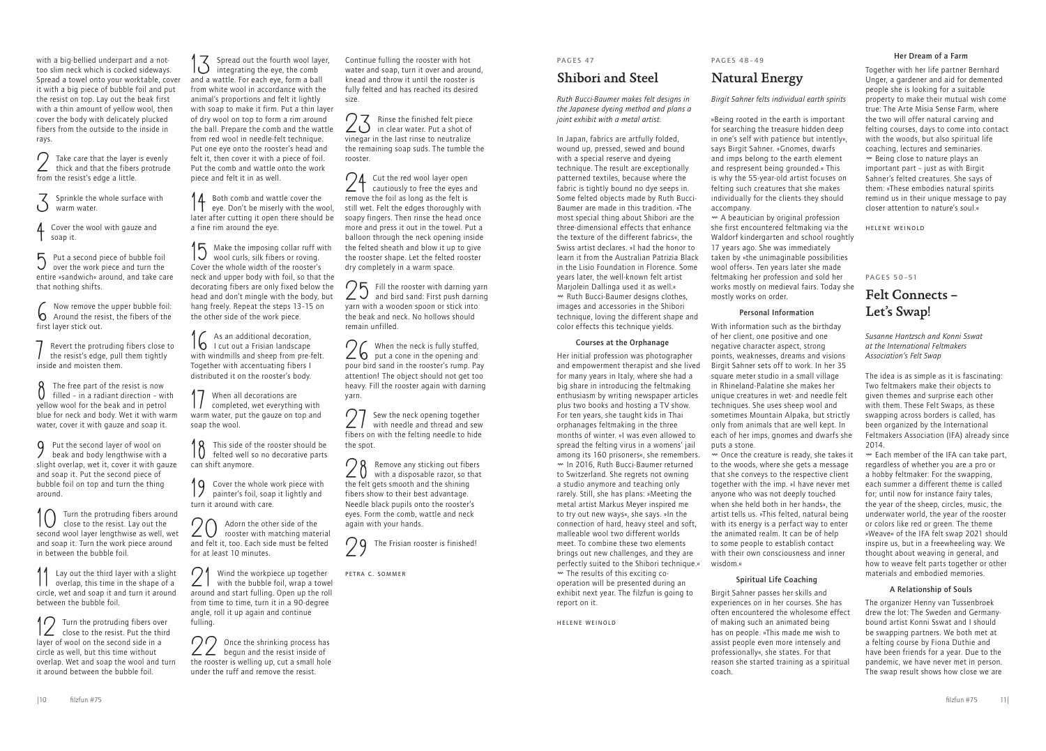# PAGES 47

# Shibori and Steel

*Ruth Bucci-Baumer makes felt designs in the Japanese dyeing method and plans a joint exhibit with a metal artist.*

In Japan, fabrics are artfully folded, wound up, pressed, sewed and bound with a special reserve and dyeing technique. The result are exceptionally patterned textiles, because where the fabric is tightly bound no dye seeps in. Some felted objects made by Ruth Bucci-Baumer are made in this tradition. »The most special thing about Shibori are the three-dimensional effects that enhance the texture of the different fabrics«, the Swiss artist declares. »I had the honor to learn it from the Australian Patrizia Black in the Lisio Foundation in Florence. Some years later, the well-known felt artist Marjolein Dallinga used it as well.« Ø Ruth Bucci-Baumer designs clothes, images and accessories in the Shibori technique, loving the different shape and color effects this technique yields.

#### Courses at the Orphanage

 $<sup>+</sup>$  A beautician by original profession</sup> she first encountered feltmaking via the Waldorf kindergarten and school roughtly 17 years ago. She was immediately taken by »the unimaginable possibilities wool offers«. Ten years later she made feltmaking her profession and sold her works mostly on medieval fairs. Today she mostly works on order.

Her initial profession was photographer and empowerment therapist and she lived for many years in Italy, where she had a big share in introducing the feltmaking enthusiasm by writing newspaper articles plus two books and hosting a TV show. For ten years, she taught kids in Thai orphanages feltmaking in the three months of winter. »I was even allowed to spread the felting virus in a womens' jail among its 160 prisoners«, she remembers. Ø In 2016, Ruth Bucci-Baumer returned to Switzerland. She regrets not owning a studio anymore and teaching only rarely. Still, she has plans: »Meeting the metal artist Markus Meyer inspired me to try out new ways«, she says. »In the connection of hard, heavy steel and soft, malleable wool two different worlds meet. To combine these two elements brings out new challenges, and they are perfectly suited to the Shibori technique.« Ø The results of this exciting cooperation will be presented during an exhibit next year. The filzfun is going to report on it.

Helene Weinold

# PAGES 48–49

# Natural Energy

*Birgit Sahner felts individual earth spirits*

»Being rooted in the earth is important for searching the treasure hidden deep in one's self with patience but intently«, says Birgit Sahner. »Gnomes, dwarfs and imps belong to the earth element and respresent being grounded.« This is why the 55-year-old artist focuses on felting such creatures that she makes individually for the clients they should accompany.

# Personal Information

With information such as the birthday of her client, one positive and one negative character aspect, strong points, weaknesses, dreams and visions Birgit Sahner sets off to work. In her 35 square meter studio in a small village in Rhineland-Palatine she makes her unique creatures in wet- and needle felt techniques. She uses sheep wool and sometimes Mountain Alpaka, but strictly only from animals that are well kept. In each of her imps, gnomes and dwarfs she puts a stone.

**4** Cover the wool with gauze and soap it.

 $\overline{5}$  Put a second piece of bubble foil over the work piece and turn the entire »sandwich« around, and take care that nothing shifts.

Revert the protruding fibers close to the resist's edge, pull them tightly inside and moisten them.

 $\begin{cases} \n\end{cases}$  The free part of the resist is now<br>  $\begin{cases} \n\end{cases}$  filled - in a radiant direction - with yellow wool for the beak and in petrol blue for neck and body. Wet it with warm water, cover it with gauze and soap it.

> Ø Once the creature is ready, she takes it to the woods, where she gets a message that she conveys to the respective client together with the imp. »I have never met anyone who was not deeply touched when she held both in her hands«, the artist tells us. »This felted, natural being with its energy is a perfact way to enter the animated realm. It can be of help to some people to establish contact with their own consciousness and inner wisdom.«

9 Put the second layer of wool on<br>beak and body lengthwise with beak and body lengthwise with a slight overlap, wet it, cover it with gauze and soap it. Put the second piece of bubble foil on top and turn the thing around.

Turn the protruding fibers around close to the resist. Lay out the second wool layer lengthwise as well, wet and soap it. Turn the work piece around in between the bubble foil.

### Spiritual Life Coaching

Lay out the third layer with a slight overlap, this time in the shape of a circle, wet and soap it and turn it around between the bubble foil.

Birgit Sahner passes her skills and experiences on in her courses. She has often encountered the wholesome effect of making such an animated being has on people. »This made me wish to assist people even more intensely and professionally«, she states. For that reason she started training as a spiritual coach.

# Her Dream of a Farm

 $14$  Both comb and wattle cover the eye. Don't be miserly with the wool, later after cutting it open there should be a fine rim around the eye.

Make the imposing collar ruff with wool curls, silk fibers or roving. Cover the whole width of the rooster's neck and upper body with foil, so that the decorating fibers are only fixed below the head and don't mingle with the body, but hang freely. Repeat the steps 13–15 on the other side of the work piece.

Together with her life partner Bernhard Unger, a gardener and aid for demented people she is looking for a suitable property to make their mutual wish come true: The Arte Misia Sense Farm, where the two will offer natural carving and felting courses, days to come into contact with the woods, but also spiritual life coaching, lectures and seminaries. Ø Being close to nature plays an important part – just as with Birgit Sahner's felted creatures. She says of them: »These embodies natural spirits remind us in their unique message to pay closer attention to nature's soul.«

**Q** Cover the whole work piece with painter's foil, soap it lightly and turn it around with care.

20 Adorn the other side of the<br>rooster with matching mate rooster with matching material and felt it, too. Each side must be felted for at least 10 minutes.

Helene Weinold

PAGES 50–51

# Felt Connects – Let's Swap!

21 Wind the workpiece up together<br>with the bubble foil, wrap a towel around and start fulling. Open up the roll from time to time, turn it in a 90-degree angle, roll it up again and continue fulling.

*Susanne Hantzsch and Konni Sswat at the International Feltmakers Association's Felt Swap* 

22 Once the shrinking process has<br> **22** begun and the resist inside of the rooster is welling up, cut a small hole under the ruff and remove the resist.

The idea is as simple as it is fascinating: Two feltmakers make their objects to given themes and surprise each other with them. These Felt Swaps, as these swapping across borders is called, has been organized by the International Feltmakers Association (IFA) already since 2014.

23 Rinse the finished felt piece<br>in clear water. Put a shot of vinegar in the last rinse to neutralize the remaining soap suds. The tumble the rooster.

24 Cut the red wool layer open<br>cautiously to free the eyes and remove the foil as long as the felt is still wet. Felt the edges thoroughly with soapy fingers. Then rinse the head once more and press it out in the towel. Put a balloon through the neck opening inside the felted sheath and blow it up to give the rooster shape. Let the felted rooster dry completely in a warm space.

> Ø Each member of the IFA can take part, regardless of whether you are a pro or a hobby feltmaker: For the swapping, each summer a different theme is called for; until now for instance fairy tales, the year of the sheep, circles, music, the underwater world, the year of the rooster or colors like red or green. The theme »Weave« of the IFA felt swap 2021 should inspire us, but in a freewheeling way. We thought about weaving in general, and how to weave felt parts together or other materials and embodied memories.

26 When the neck is fully stuffed,<br> **26** put a cone in the opening and pour bird sand in the rooster's rump. Pay attention! The object should not get too heavy. Fill the rooster again with darning yarn.

28 Remove any sticking out fibers<br>with a disposable razor, so that the felt gets smooth and the shining fibers show to their best advantage. Needle black pupils onto the rooster's eyes. Form the comb, wattle and neck again with your hands.

#### A Relationship of Souls

The organizer Henny van Tussenbroek drew the lot: The Sweden and Germanybound artist Konni Sswat and I should be swapping partners. We both met at a felting course by Fiona Duthie and have been friends for a year. Due to the pandemic, we have never met in person. The swap result shows how close we are

with a big-bellied underpart and a nottoo slim neck which is cocked sideways. Spread a towel onto your worktable, cover it with a big piece of bubble foil and put the resist on top. Lay out the beak first with a thin amount of yellow wool, then cover the body with delicately plucked fibers from the outside to the inside in rays.

2 Take care that the layer is evenly thick and that the fibers protrude from the resist's edge a little.

 $\sum$  Sprinkle the whole surface with warm water.

6 Now remove the upper bubble foil: Around the resist, the fibers of the first layer stick out.

12 Turn the protruding fibers over close to the resist. Put the third layer of wool on the second side in a circle as well, but this time without overlap. Wet and soap the wool and turn it around between the bubble foil.

13 Spread out the fourth wool layer, integrating the eye, the comb and a wattle. For each eye, form a ball from white wool in accordance with the animal's proportions and felt it lightly with soap to make it firm. Put a thin layer of dry wool on top to form a rim around the ball. Prepare the comb and the wattle from red wool in needle-felt technique. Put one eye onto the rooster's head and felt it, then cover it with a piece of foil. Put the comb and wattle onto the work piece and felt it in as well.

16 As an additional decoration, I cut out a Frisian landscape with windmills and sheep from pre-felt. Together with accentuating fibers I distributed it on the rooster's body.

17 When all decorations are completed, wet everything with warm water, put the gauze on top and soap the wool.

18 This side of the rooster should be felted well so no decorative parts can shift anymore.

Continue fulling the rooster with hot water and soap, turn it over and around, knead and throw it until the rooster is fully felted and has reached its desired size.

25 Fill the rooster with darning yarn and bird sand: First push darning yarn with a wooden spoon or stick into the beak and neck. No hollows should remain unfilled.

27 Sew the neck opening together with needle and thread and sew fibers on with the felting needle to hide the spot.



Petra C. Sommer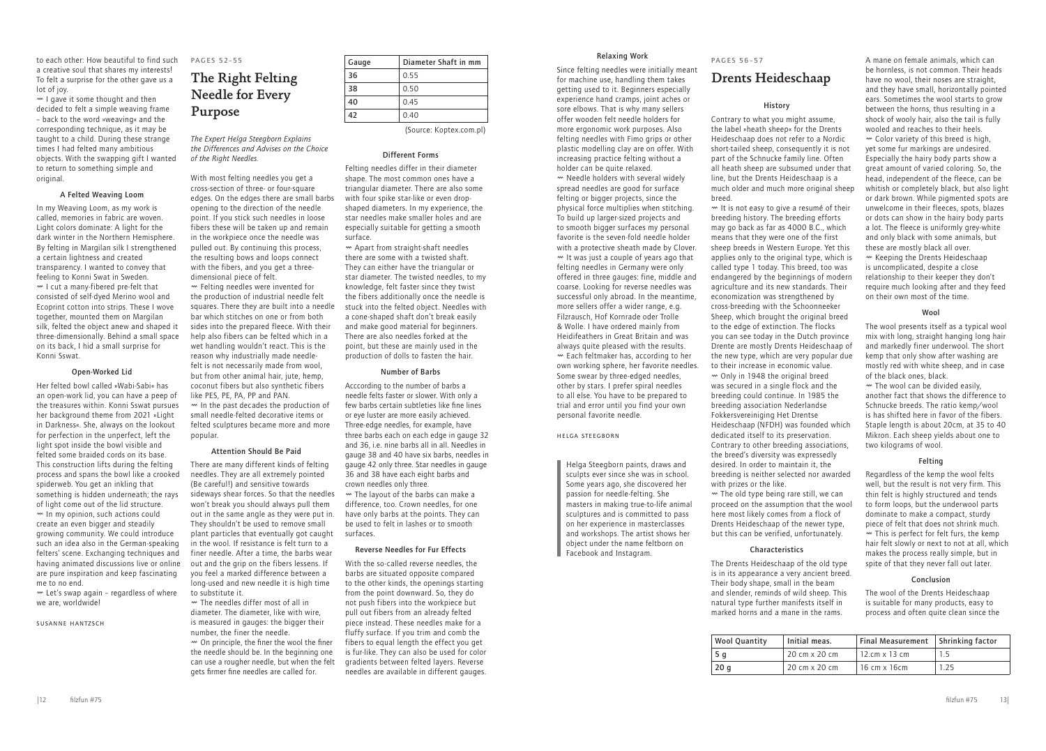### Relaxing Work

Since felting needles were initially meant for machine use, handling them takes getting used to it. Beginners especially experience hand cramps, joint aches or sore elbows. That is why many sellers offer wooden felt needle holders for more ergonomic work purposes. Also felting needles with Fimo grips or other plastic modelling clay are on offer. With increasing practice felting without a holder can be quite relaxed. Ø Needle holders with several widely

spread needles are good for surface felting or bigger projects, since the physical force multiplies when stitching. To build up larger-sized projects and to smooth bigger surfaces my personal favorite is the seven-fold needle holder with a protective sheath made by Clover.  $W$  It was just a couple of years ago that felting needles in Germany were only offered in three gauges: fine, middle and coarse. Looking for reverse needles was successful only abroad. In the meantime, more sellers offer a wider range, e.g. Filzrausch, Hof Kornrade oder Trolle & Wolle. I have ordered mainly from Heidifeathers in Great Britain and was always quite pleased with the results. Ø Each feltmaker has, according to her own working sphere, her favorite needles. Some swear by three-edged needles, other by stars. I prefer spiral needles to all else. You have to be prepared to trial and error until you find your own personal favorite needle.

#### Helga Steegborn

Helga Steegborn paints, draws and sculpts ever since she was in school. Some years ago, she discovered her passion for needle-felting. She masters in making true-to-life animal sculptures and is committed to pass on her experience in masterclasses and workshops. The artist shows her object under the name feltborn on Facebook and Instagram.

 $\sim$  The old type being rare still, we can proceed on the assumption that the wool here most likely comes from a flock of Drents Heideschaap of the newer type, but this can be verified, unfortunately.

### **Characteristics**

#### PAGES 56–57

# Drents Heideschaap

#### History

Contrary to what you might assume, the label »heath sheep« for the Drents Heideschaap does not refer to a Nordic short-tailed sheep, consequently it is not part of the Schnucke family line. Often all heath sheep are subsumed under that line, but the Drents Heideschaap is a much older and much more original sheep breed.

> $\sim$  The wool can be divided easily. another fact that shows the difference to Schnucke breeds. The ratio kemp/wool is has shifted here in favor of the fibers. Staple length is about 20cm, at 35 to 40 Mikron. Each sheep yields about one to two kilograms of wool.

Ø It is not easy to give a resumé of their breeding history. The breeding efforts may go back as far as 4000 B.C., which means that they were one of the first sheep breeds in Western Europe. Yet this applies only to the original type, which is called type 1 today. This breed, too was endangered by the beginnings of modern agriculture and its new standards. Their economization was strengthened by cross-breeding with the Schoonneeker Sheep, which brought the original breed to the edge of extinction. The flocks you can see today in the Dutch province Drente are mostly Drents Heideschaap of the new type, which are very popular due to their increase in economic value.  $\sim$  Only in 1948 the original breed was secured in a single flock and the breeding could continue. In 1985 the breeding association Nederlandse Fokkersvereiniging Het Drentse Heideschaap (NFDH) was founded which dedicated itself to its preservation. Contrary to other breeding associations, the breed's diversity was expressedly desired. In order to maintain it, the breeding is neither selected nor awarded with prizes or the like.

 $W$  I gave it some thought and then decided to felt a simple weaving frame – back to the word »weaving« and the corresponding technique, as it may be taught to a child. During these strange times I had felted many ambitious objects. With the swapping gift I wanted to return to something simple and original.

> The Drents Heideschaap of the old type is in its appearance a very ancient breed. Their body shape, small in the beam and slender, reminds of wild sheep. This natural type further manifests itself in marked horns and a mane in the rams.

 $W$  Let's swap again - regardless of where we are, worldwide!

A mane on female animals, which can be hornless, is not common. Their heads have no wool, their noses are straight, and they have small, horizontally pointed ears. Sometimes the wool starts to grow between the horns, thus resulting in a shock of wooly hair, also the tail is fully wooled and reaches to their heels. Ø Color variety of this breed is high, yet some fur markings are undesired. Especially the hairy body parts show a great amount of varied coloring. So, the head, independent of the fleece, can be whitish or completely black, but also light or dark brown. While pigmented spots are unwelcome in their fleeces, spots, blazes or dots can show in the hairy body parts a lot. The fleece is uniformly grey-white and only black with some animals, but these are mostly black all over. Ø Keeping the Drents Heideschaap is uncomplicated, despite a close relationship to their keeper they don't require much looking after and they feed on their own most of the time.

#### Wool

The wool presents itself as a typical wool mix with long, straight hanging long hair and markedly finer underwool. The short kemp that only show after washing are mostly red with white sheep, and in case of the black ones, black.

### Felting

Regardless of the kemp the wool felts well, but the result is not very firm. This thin felt is highly structured and tends to form loops, but the underwool parts dominate to make a compact, sturdy piece of felt that does not shrink much.  $\mathbf w$  This is perfect for felt furs, the kemp hair felt slowly or next to not at all, which makes the process really simple, but in spite of that they never fall out later.

#### Conclusion

The wool of the Drents Heideschaap is suitable for many products, easy to process and often quite clean since the

to each other: How beautiful to find such a creative soul that shares my interests! To felt a surprise for the other gave us a lot of joy.

### A Felted Weaving Loom

In my Weaving Loom, as my work is called, memories in fabric are woven. Light colors dominate: A light for the dark winter in the Northern Hemisphere. By felting in Margilan silk I strengthened a certain lightness and created transparency. I wanted to convey that feeling to Konni Swat in Sweden.  $M \sim 1$  cut a many-fibered pre-felt that consisted of self-dyed Merino wool and Ecoprint cotton into strips. These I wove together, mounted them on Margilan silk, felted the object anew and shaped it three-dimensionally. Behind a small space on its back, I hid a small surprise for Konni Sswat.

#### Open-Worked Lid

Her felted bowl called »Wabi-Sabi« has an open-work lid, you can have a peep of the treasures within. Konni Sswat pursues her background theme from 2021 »Light in Darkness«. She, always on the lookout for perfection in the unperfect, left the light spot inside the bowl visible and felted some braided cords on its base. This construction lifts during the felting process and spans the bowl like a crooked spiderweb. You get an inkling that something is hidden underneath; the rays of light come out of the lid structure.  $^{\omega}$  In my opinion, such actions could create an even bigger and steadily growing community. We could introduce such an idea also in the German-speaking felters' scene. Exchanging techniques and having animated discussions live or online are pure inspiration and keep fascinating me to no end.

#### Susanne Hantzsch

# PAGES 52–55

# The Right Felting Needle for Every Purpose

*The Expert Helga Steegborn Explains the Differences and Advises on the Choice of the Right Needles.*

With most felting needles you get a cross-section of three- or four-square edges. On the edges there are small barbs opening to the direction of the needle point. If you stick such needles in loose fibers these will be taken up and remain in the workpiece once the needle was pulled out. By continuing this process, the resulting bows and loops connect with the fibers, and you get a threedimensional piece of felt. Ø Felting needles were invented for the production of industrial needle felt squares. There they are built into a needle bar which stitches on one or from both sides into the prepared fleece. With their help also fibers can be felted which in a wet handling wouldn't react. This is the reason why industrially made needlefelt is not necessarily made from wool, but from other animal hair, jute, hemp, coconut fibers but also synthetic fibers like PES, PE, PA, PP and PAN. Ø In the past decades the production of

small needle-felted decorative items or felted sculptures became more and more popular.

#### Attention Should Be Paid

There are many different kinds of felting needles. They are all extremely pointed (Be careful!) and sensitive towards sideways shear forces. So that the needles won't break you should always pull them out in the same angle as they were put in. They shouldn't be used to remove small plant particles that eventually got caught in the wool. If resistance is felt turn to a finer needle. After a time, the barbs wear out and the grip on the fibers lessens. If you feel a marked difference between a long-used and new needle it is high time to substitute it.

Ø The needles differ most of all in diameter. The diameter, like with wire, is measured in gauges: the bigger their number, the finer the needle.  $\sim$  On principle, the finer the wool the finer the needle should be. In the beginning one can use a rougher needle, but when the felt

gets firmer fine needles are called for.

#### Different Forms

Felting needles differ in their diameter shape. The most common ones have a triangular diameter. There are also some with four spike star-like or even dropshaped diameters. In my experience, the star needles make smaller holes and are especially suitable for getting a smooth surface.

Ø Apart from straight-shaft needles there are some with a twisted shaft. They can either have the triangular or star diameter. The twisted needles, to my knowledge, felt faster since they twist the fibers additionally once the needle is stuck into the felted object. Needles with a cone-shaped shaft don't break easily and make good material for beginners. There are also needles forked at the point, but these are mainly used in the production of dolls to fasten the hair.

#### Number of Barbs

Acccording to the number of barbs a needle felts faster or slower. With only a few barbs certain subtleties like fine lines or eye luster are more easily achieved. Three-edge needles, for example, have three barbs each on each edge in gauge 32 and 36, i.e. nine barbs all in all. Needles in gauge 38 and 40 have six barbs, needles in gauge 42 only three. Star needles in gauge 36 and 38 have each eight barbs and crown needles only three.

Ø The layout of the barbs can make a difference, too. Crown needles, for one have only barbs at the points. They can be used to felt in lashes or to smooth surfaces.

#### Reverse Needles for Fur Effects

With the so-called reverse needles, the barbs are situated opposite compared to the other kinds, the openings starting from the point downward. So, they do not push fibers into the workpiece but pull out fibers from an already felted piece instead. These needles make for a fluffy surface. If you trim and comb the fibers to equal length the effect you get is fur-like. They can also be used for color gradients between felted layers. Reverse needles are available in different gauges.

| Gauge | Diameter Shaft in mm |
|-------|----------------------|
| 36    | 0.55                 |
| 38    | 0.50                 |
| 40    | 0.45                 |
| 42    | 0.40                 |
|       |                      |

(Source: Koptex.com.pl)

| <b>Wool Quantity</b> | Initial meas. | Final Measurement   Shrinking factor |      |
|----------------------|---------------|--------------------------------------|------|
| 5 g                  | 20 cm x 20 cm | $12.cm \times 13 cm$                 |      |
| 20 q                 | 20 cm x 20 cm | 16 cm x 16cm                         | 1.25 |